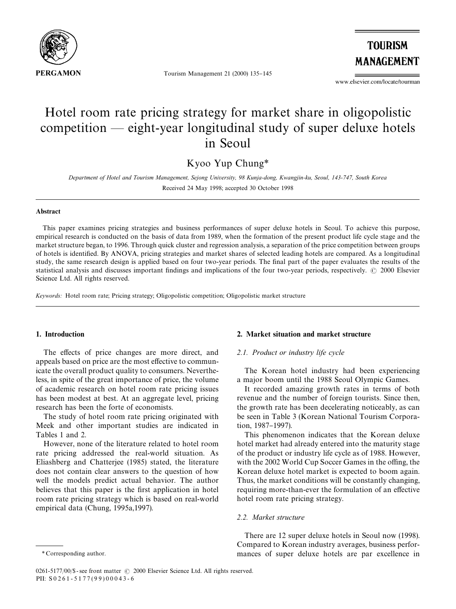

Tourism Management 21 (2000) 135-145

**TOURISM MANAGEMENT** 

www.elsevier.com/locate/tourman

# Hotel room rate pricing strategy for market share in oligopolistic competition  $-$  eight-year longitudinal study of super deluxe hotels in Seoul

Kyoo Yup Chung*\**

*Department of Hotel and Tourism Management, Sejong University, 98 Kunja-dong, Kwangjin-ku, Seoul, 143-747, South Korea* Received 24 May 1998; accepted 30 October 1998

### Abstract

This paper examines pricing strategies and business performances of super deluxe hotels in Seoul. To achieve this purpose, empirical research is conducted on the basis of data from 1989, when the formation of the present product life cycle stage and the market structure began, to 1996. Through quick cluster and regression analysis, a separation of the price competition between groups of hotels is identi"ed. By ANOVA, pricing strategies and market shares of selected leading hotels are compared. As a longitudinal study, the same research design is applied based on four two-year periods. The final part of the paper evaluates the results of the statistical analysis and discusses important findings and implications of the four two-year periods, respectively. © 2000 Elsevier Science Ltd. All rights reserved.

*Keywords:* Hotel room rate; Pricing strategy; Oligopolistic competition; Oligopolistic market structure

### 1. Introduction

The effects of price changes are more direct, and appeals based on price are the most effective to communicate the overall product quality to consumers. Nevertheless, in spite of the great importance of price, the volume of academic research on hotel room rate pricing issues has been modest at best. At an aggregate level, pricing research has been the forte of economists.

The study of hotel room rate pricing originated with Meek and other important studies are indicated in Tables 1 and 2.

However, none of the literature related to hotel room rate pricing addressed the real-world situation. As Eliashberg and Chatterjee (1985) stated, the literature does not contain clear answers to the question of how well the models predict actual behavior. The author believes that this paper is the first application in hotel room rate pricing strategy which is based on real-world empirical data (Chung, 1995a,1997).

### 2. Market situation and market structure

### *2.1. Product or industry life cycle*

The Korean hotel industry had been experiencing a major boom until the 1988 Seoul Olympic Games.

It recorded amazing growth rates in terms of both revenue and the number of foreign tourists. Since then, the growth rate has been decelerating noticeably, as can be seen in Table 3 (Korean National Tourism Corporation, 1987-1997).

This phenomenon indicates that the Korean deluxe hotel market had already entered into the maturity stage of the product or industry life cycle as of 1988. However, with the 2002 World Cup Soccer Games in the offing, the Korean deluxe hotel market is expected to boom again. Thus, the market conditions will be constantly changing, requiring more-than-ever the formulation of an effective hotel room rate pricing strategy.

### *2.2. Market structure*

There are 12 super deluxe hotels in Seoul now (1998). Compared to Korean industry averages, business performances of super deluxe hotels are par excellence in

*<sup>\*</sup>* Corresponding author.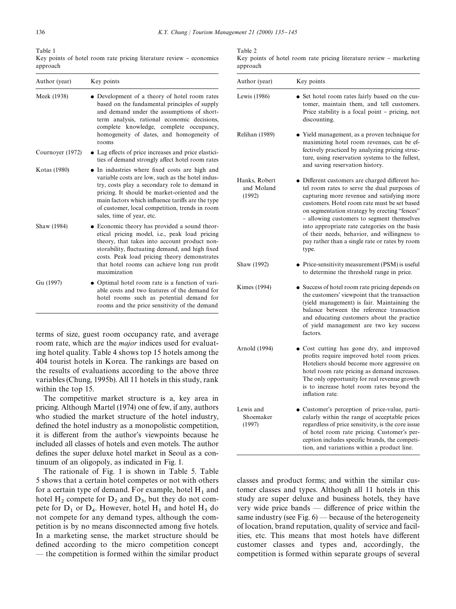Table 1 Key points of hotel room rate pricing literature review - economics approach

| Author (year)    | Key points                                                                                                                                                                                                                                                                                                                             |
|------------------|----------------------------------------------------------------------------------------------------------------------------------------------------------------------------------------------------------------------------------------------------------------------------------------------------------------------------------------|
| Meek (1938)      | • Development of a theory of hotel room rates<br>based on the fundamental principles of supply<br>and demand under the assumptions of short-<br>term analysis, rational economic decisions,<br>complete knowledge, complete occupancy,<br>homogeneity of dates, and homogeneity of<br>rooms                                            |
| Cournoyer (1972) | • Lag effects of price increases and price elastici-<br>ties of demand strongly affect hotel room rates                                                                                                                                                                                                                                |
| Kotas (1980)     | In industries where fixed costs are high and<br>variable costs are low, such as the hotel indus-<br>try, costs play a secondary role to demand in<br>pricing. It should be market-oriented and the<br>main factors which influence tariffs are the type<br>of customer, local competition, trends in room<br>sales, time of year, etc. |
| Shaw (1984)      | • Economic theory has provided a sound theor-<br>etical pricing model, i.e., peak load pricing<br>theory, that takes into account product non-<br>storability, fluctuating demand, and high fixed<br>costs. Peak load pricing theory demonstrates<br>that hotel rooms can achieve long run profit<br>maximization                      |
| Gu (1997)        | • Optimal hotel room rate is a function of vari-<br>able costs and two features of the demand for<br>hotel rooms such as potential demand for<br>rooms and the price sensitivity of the demand                                                                                                                                         |

terms of size, guest room occupancy rate, and average room rate, which are the *major* indices used for evaluating hotel quality. Table 4 shows top 15 hotels among the 404 tourist hotels in Korea. The rankings are based on the results of evaluations according to the above three variables (Chung, 1995b). All 11 hotels in this study, rank within the top 15.

The competitive market structure is a, key area in pricing. Although Martel (1974) one of few, if any, authors who studied the market structure of the hotel industry, defined the hotel industry as a monopolistic competition, it is different from the author's viewpoints because he included all classes of hotels and even motels. The author defines the super deluxe hotel market in Seoul as a continuum of an oligopoly, as indicated in Fig. 1.

The rationale of Fig. 1 is shown in Table 5. Table 5 shows that a certain hotel competes or not with others for a certain type of demand. For example, hotel  $H_1$  and hotel  $H_2$  compete for  $D_2$  and  $D_3$ , but they do not compete for  $D_1$  or  $D_4$ . However, hotel  $H_1$  and hotel  $H_5$  do not compete for any demand types, although the competition is by no means disconnected among five hotels. In a marketing sense, the market structure should be defined according to the micro competition concept  $-$  the competition is formed within the similar product Table 2

Key points of hotel room rate pricing literature review - marketing approach

| Author (year)                         | Key points                                                                                                                                                                                                                                                                                                                                                                                                                                               |
|---------------------------------------|----------------------------------------------------------------------------------------------------------------------------------------------------------------------------------------------------------------------------------------------------------------------------------------------------------------------------------------------------------------------------------------------------------------------------------------------------------|
| Lewis (1986)                          | • Set hotel room rates fairly based on the cus-<br>tomer, maintain them, and tell customers.<br>Price stability is a focal point - pricing, not<br>discounting.                                                                                                                                                                                                                                                                                          |
| Relihan (1989)                        | • Yield management, as a proven technique for<br>maximizing hotel room revenues, can be ef-<br>fectively practiced by analyzing pricing struc-<br>ture, using reservation systems to the fullest,<br>and saving reservation history.                                                                                                                                                                                                                     |
| Hanks, Robert<br>and Moland<br>(1992) | · Different customers are charged different ho-<br>tel room rates to serve the dual purposes of<br>capturing more revenue and satisfying more<br>customers. Hotel room rate must be set based<br>on segmentation strategy by erecting "fences"<br>- allowing customers to segment themselves<br>into appropriate rate categories on the basis<br>of their needs, behavior, and willingness to<br>pay rather than a single rate or rates by room<br>type. |
| Shaw (1992)                           | • Price-sensitivity measurement (PSM) is useful<br>to determine the threshold range in price.                                                                                                                                                                                                                                                                                                                                                            |
| Kimes (1994)                          | • Success of hotel room rate pricing depends on<br>the customers' viewpoint that the transaction<br>(yield management) is fair. Maintaining the<br>balance between the reference transaction<br>and educating customers about the practice<br>of yield management are two key success<br>factors.                                                                                                                                                        |
| Arnold (1994)                         | • Cost cutting has gone dry, and improved<br>profits require improved hotel room prices.<br>Hoteliers should become more aggressive on<br>hotel room rate pricing as demand increases.<br>The only opportunity for real revenue growth<br>is to increase hotel room rates beyond the<br>inflation rate.                                                                                                                                                  |
| Lewis and<br>Shoemaker<br>(1997)      | · Customer's perception of price-value, parti-<br>cularly within the range of acceptable prices<br>regardless of price sensitivity, is the core issue<br>of hotel room rate pricing. Customer's per-<br>ception includes specific brands, the competi-<br>tion, and variations within a product line.                                                                                                                                                    |

classes and product forms; and within the similar customer classes and types. Although all 11 hotels in this study are super deluxe and business hotels, they have very wide price bands  $-$  difference of price within the same industry (see Fig.  $6$ ) — because of the heterogeneity of location, brand reputation, quality of service and facilities, etc. This means that most hotels have different customer classes and types and, accordingly, the competition is formed within separate groups of several